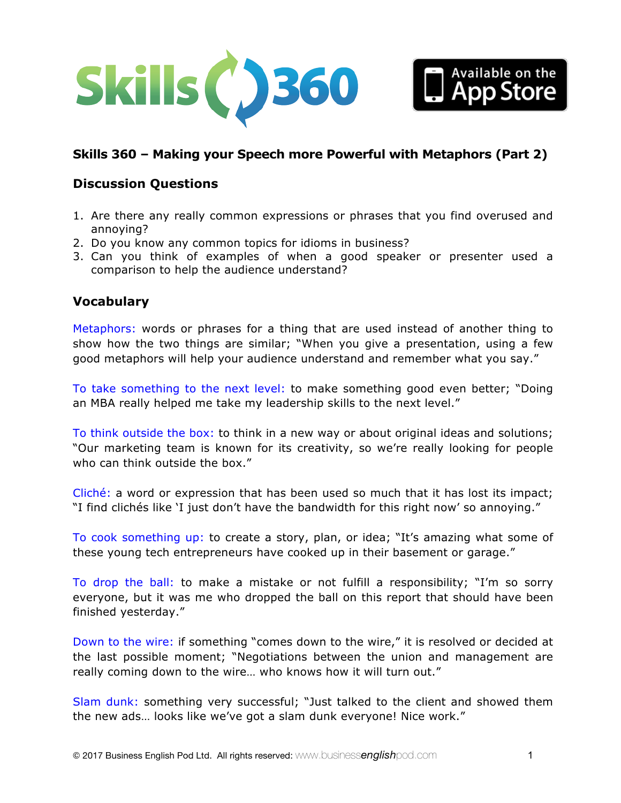

# **Skills 360 – Making your Speech more Powerful with Metaphors (Part 2)**

#### **Discussion Questions**

- 1. Are there any really common expressions or phrases that you find overused and annoying?
- 2. Do you know any common topics for idioms in business?
- 3. Can you think of examples of when a good speaker or presenter used a comparison to help the audience understand?

#### **Vocabulary**

Metaphors: words or phrases for a thing that are used instead of another thing to show how the two things are similar; "When you give a presentation, using a few good metaphors will help your audience understand and remember what you say."

To take something to the next level: to make something good even better; "Doing an MBA really helped me take my leadership skills to the next level."

To think outside the box: to think in a new way or about original ideas and solutions; "Our marketing team is known for its creativity, so we're really looking for people who can think outside the box."

Cliché: a word or expression that has been used so much that it has lost its impact; "I find clichés like 'I just don't have the bandwidth for this right now' so annoying."

To cook something up: to create a story, plan, or idea; "It's amazing what some of these young tech entrepreneurs have cooked up in their basement or garage."

To drop the ball: to make a mistake or not fulfill a responsibility; "I'm so sorry everyone, but it was me who dropped the ball on this report that should have been finished yesterday."

Down to the wire: if something "comes down to the wire," it is resolved or decided at the last possible moment; "Negotiations between the union and management are really coming down to the wire… who knows how it will turn out."

Slam dunk: something very successful; "Just talked to the client and showed them the new ads… looks like we've got a slam dunk everyone! Nice work."

Available on the<br>Ann Store pp Store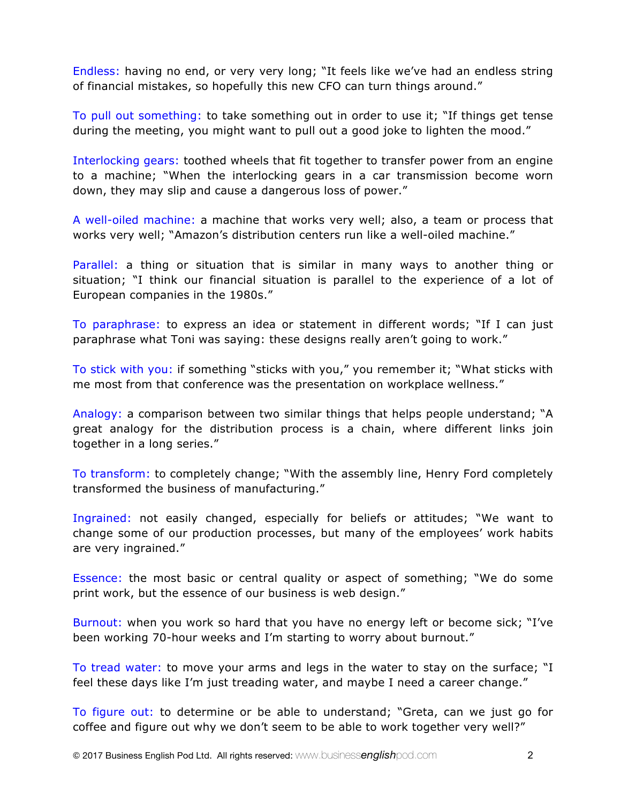Endless: having no end, or very very long; "It feels like we've had an endless string of financial mistakes, so hopefully this new CFO can turn things around."

To pull out something: to take something out in order to use it; "If things get tense during the meeting, you might want to pull out a good joke to lighten the mood."

Interlocking gears: toothed wheels that fit together to transfer power from an engine to a machine; "When the interlocking gears in a car transmission become worn down, they may slip and cause a dangerous loss of power."

A well-oiled machine: a machine that works very well; also, a team or process that works very well; "Amazon's distribution centers run like a well-oiled machine."

Parallel: a thing or situation that is similar in many ways to another thing or situation; "I think our financial situation is parallel to the experience of a lot of European companies in the 1980s."

To paraphrase: to express an idea or statement in different words; "If I can just paraphrase what Toni was saying: these designs really aren't going to work."

To stick with you: if something "sticks with you," you remember it; "What sticks with me most from that conference was the presentation on workplace wellness."

Analogy: a comparison between two similar things that helps people understand; "A great analogy for the distribution process is a chain, where different links join together in a long series."

To transform: to completely change; "With the assembly line, Henry Ford completely transformed the business of manufacturing."

Ingrained: not easily changed, especially for beliefs or attitudes; "We want to change some of our production processes, but many of the employees' work habits are very ingrained."

Essence: the most basic or central quality or aspect of something; "We do some print work, but the essence of our business is web design."

Burnout: when you work so hard that you have no energy left or become sick; "I've been working 70-hour weeks and I'm starting to worry about burnout."

To tread water: to move your arms and legs in the water to stay on the surface; "I feel these days like I'm just treading water, and maybe I need a career change."

To figure out: to determine or be able to understand; "Greta, can we just go for coffee and figure out why we don't seem to be able to work together very well?"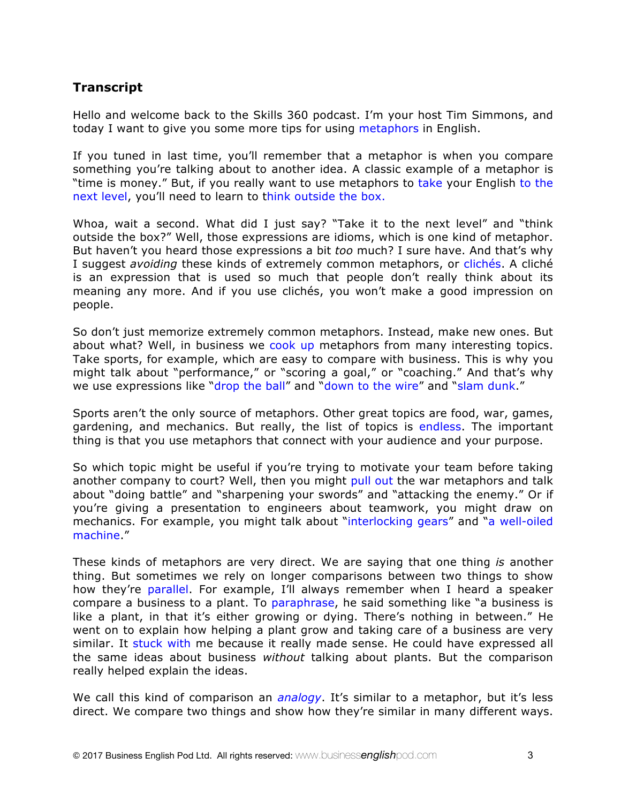## **Transcript**

Hello and welcome back to the Skills 360 podcast. I'm your host Tim Simmons, and today I want to give you some more tips for using metaphors in English.

If you tuned in last time, you'll remember that a metaphor is when you compare something you're talking about to another idea. A classic example of a metaphor is "time is money." But, if you really want to use metaphors to take your English to the next level, you'll need to learn to think outside the box.

Whoa, wait a second. What did I just say? "Take it to the next level" and "think outside the box?" Well, those expressions are idioms, which is one kind of metaphor. But haven't you heard those expressions a bit *too* much? I sure have. And that's why I suggest *avoiding* these kinds of extremely common metaphors, or clichés. A cliché is an expression that is used so much that people don't really think about its meaning any more. And if you use clichés, you won't make a good impression on people.

So don't just memorize extremely common metaphors. Instead, make new ones. But about what? Well, in business we cook up metaphors from many interesting topics. Take sports, for example, which are easy to compare with business. This is why you might talk about "performance," or "scoring a goal," or "coaching." And that's why we use expressions like "drop the ball" and "down to the wire" and "slam dunk."

Sports aren't the only source of metaphors. Other great topics are food, war, games, gardening, and mechanics. But really, the list of topics is endless. The important thing is that you use metaphors that connect with your audience and your purpose.

So which topic might be useful if you're trying to motivate your team before taking another company to court? Well, then you might pull out the war metaphors and talk about "doing battle" and "sharpening your swords" and "attacking the enemy." Or if you're giving a presentation to engineers about teamwork, you might draw on mechanics. For example, you might talk about "interlocking gears" and "a well-oiled machine."

These kinds of metaphors are very direct. We are saying that one thing *is* another thing. But sometimes we rely on longer comparisons between two things to show how they're parallel. For example, I'll always remember when I heard a speaker compare a business to a plant. To paraphrase, he said something like "a business is like a plant, in that it's either growing or dying. There's nothing in between." He went on to explain how helping a plant grow and taking care of a business are very similar. It stuck with me because it really made sense. He could have expressed all the same ideas about business *without* talking about plants. But the comparison really helped explain the ideas.

We call this kind of comparison an *analogy*. It's similar to a metaphor, but it's less direct. We compare two things and show how they're similar in many different ways.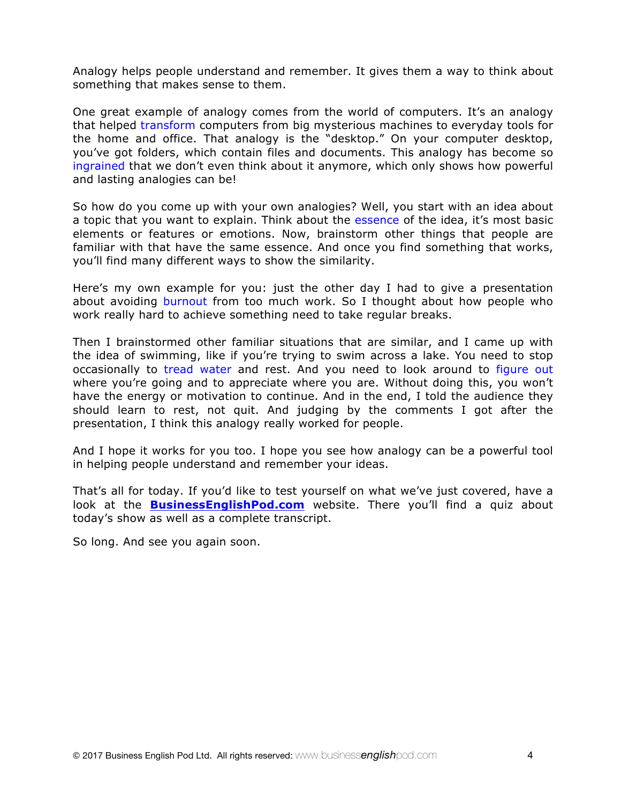Analogy helps people understand and remember. It gives them a way to think about something that makes sense to them.

One great example of analogy comes from the world of computers. It's an analogy that helped transform computers from big mysterious machines to everyday tools for the home and office. That analogy is the "desktop." On your computer desktop, you've got folders, which contain files and documents. This analogy has become so ingrained that we don't even think about it anymore, which only shows how powerful and lasting analogies can be!

So how do you come up with your own analogies? Well, you start with an idea about a topic that you want to explain. Think about the essence of the idea, it's most basic elements or features or emotions. Now, brainstorm other things that people are familiar with that have the same essence. And once you find something that works, you'll find many different ways to show the similarity.

Here's my own example for you: just the other day I had to give a presentation about avoiding burnout from too much work. So I thought about how people who work really hard to achieve something need to take regular breaks.

Then I brainstormed other familiar situations that are similar, and I came up with the idea of swimming, like if you're trying to swim across a lake. You need to stop occasionally to tread water and rest. And you need to look around to figure out where you're going and to appreciate where you are. Without doing this, you won't have the energy or motivation to continue. And in the end, I told the audience they should learn to rest, not quit. And judging by the comments I got after the presentation, I think this analogy really worked for people.

And I hope it works for you too. I hope you see how analogy can be a powerful tool in helping people understand and remember your ideas.

That's all for today. If you'd like to test yourself on what we've just covered, have a look at the **BusinessEnglishPod.com** website. There you'll find a quiz about today's show as well as a complete transcript.

So long. And see you again soon.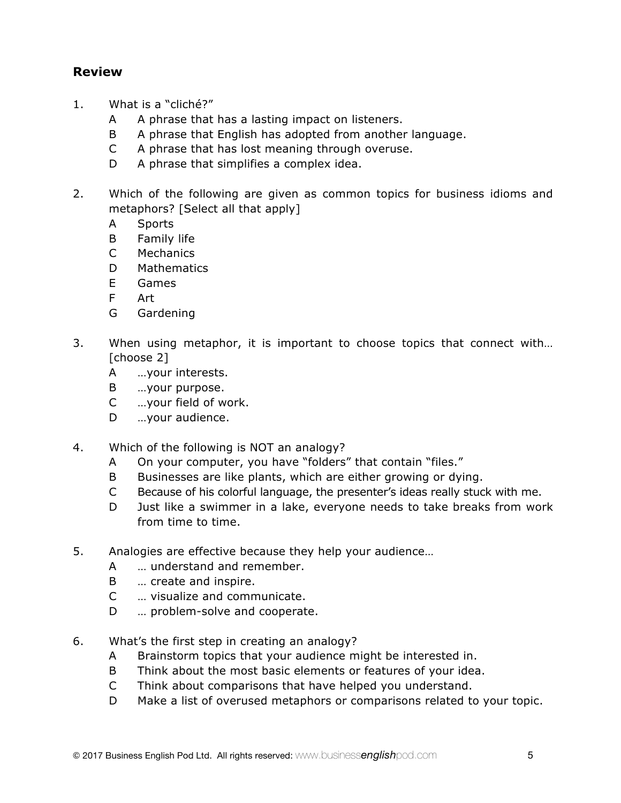### **Review**

- 1. What is a "cliché?"
	- A A phrase that has a lasting impact on listeners.
	- B A phrase that English has adopted from another language.
	- C A phrase that has lost meaning through overuse.
	- D A phrase that simplifies a complex idea.
- 2. Which of the following are given as common topics for business idioms and metaphors? [Select all that apply]
	- A Sports
	- B Family life
	- C Mechanics
	- D Mathematics
	- E Games
	- F Art
	- G Gardening
- 3. When using metaphor, it is important to choose topics that connect with… [choose 2]
	- A …your interests.
	- B …your purpose.
	- C …your field of work.
	- D ...your audience.
- 4. Which of the following is NOT an analogy?
	- A On your computer, you have "folders" that contain "files."
	- B Businesses are like plants, which are either growing or dying.
	- C Because of his colorful language, the presenter's ideas really stuck with me.
	- D Just like a swimmer in a lake, everyone needs to take breaks from work from time to time.
- 5. Analogies are effective because they help your audience…
	- A … understand and remember.
	- B … create and inspire.
	- C … visualize and communicate.
	- D ... problem-solve and cooperate.
- 6. What's the first step in creating an analogy?
	- A Brainstorm topics that your audience might be interested in.
	- B Think about the most basic elements or features of your idea.
	- C Think about comparisons that have helped you understand.
	- D Make a list of overused metaphors or comparisons related to your topic.